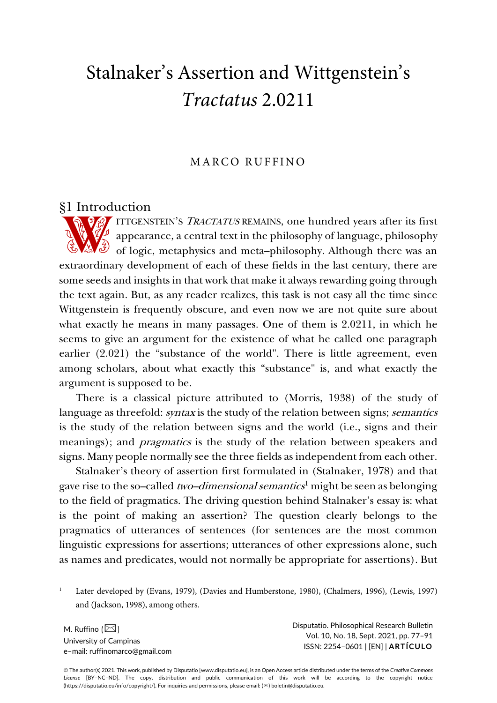# Stalnaker's Assertion and Wittgenstein's *Tractatus* 2.0211

## MARCO RUFFINO

## §1 Introduction

ITTGENSTEIN'S TRACTATUS REMAINS, one hundred years after its first appearance, a central text in the philosophy of language, philosophy of logic, metaphysics and meta–philosophy. Although there was an extraordinary development of each of these fields in the last century, there are some seeds and insights in that work that make it always rewarding going through the text again. But, as any reader realizes, this task is not easy all the time since Wittgenstein is frequently obscure, and even now we are not quite sure about what exactly he means in many passages. One of them is 2.0211, in which he seems to give an argument for the existence of what he called one paragraph earlier (2.021) the "substance of the world". There is little agreement, even among scholars, about what exactly this "substance" is, and what exactly the argument is supposed to be. ST Introdu

There is a classical picture attributed to (Morris, 1938) of the study of language as threefold: *syntax* is the study of the relation between signs; *semantics* is the study of the relation between signs and the world (i.e., signs and their meanings); and *pragmatics* is the study of the relation between speakers and signs. Many people normally see the three fields as independent from each other.

Stalnaker's theory of assertion first formulated in (Stalnaker, 1978) and that gave rise to the so–called *two–dimensional semantics*<sup>[1](#page-0-0)</sup> might be seen as belonging to the field of pragmatics. The driving question behind Stalnaker's essay is: what is the point of making an assertion? The question clearly belongs to the pragmatics of utterances of sentences (for sentences are the most common linguistic expressions for assertions; utterances of other expressions alone, such as names and predicates, would not normally be appropriate for assertions). But

<span id="page-0-0"></span><sup>1</sup> Later developed by (Evans, 1979), (Davies and Humberstone, 1980), (Chalmers, 1996), (Lewis, 1997) and (Jackson, 1998), among others.

M. Ruffino  $(\boxtimes)$ University of Campinas e–mail: ruffinomarco@gmail.com Disputatio. Philosophical Research Bulletin Vol. 10, No. 18, Sept. 2021, pp. 77–91 ISSN: 2254–0601 | [EN] | **ARTÍCULO**

© The author(s) 2021. This work, published by Disputatio [www.disputatio.eu], is an Open Access article distributed under the terms of the *Creative Commons License* [BY–NC–ND]. The copy, distribution and public communication of this work will be according to the copyright notice (https://disputatio.eu/info/copyright/). For inquiries and permissions, please email: (✉) boletin@disputatio.eu.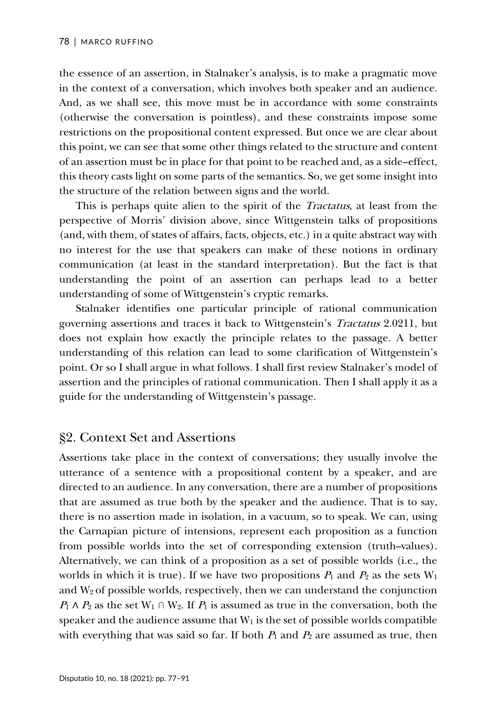the essence of an assertion, in Stalnaker's analysis, is to make a pragmatic move in the context of a conversation, which involves both speaker and an audience. And, as we shall see, this move must be in accordance with some constraints (otherwise the conversation is pointless), and these constraints impose some restrictions on the propositional content expressed. But once we are clear about this point, we can see that some other things related to the structure and content of an assertion must be in place for that point to be reached and, as a side–effect, this theory casts light on some parts of the semantics. So, we get some insight into the structure of the relation between signs and the world.

This is perhaps quite alien to the spirit of the *Tractatus*, at least from the perspective of Morris' division above, since Wittgenstein talks of propositions (and, with them, of states of affairs, facts, objects, etc.) in a quite abstract way with no interest for the use that speakers can make of these notions in ordinary communication (at least in the standard interpretation). But the fact is that understanding the point of an assertion can perhaps lead to a better understanding of some of Wittgenstein's cryptic remarks.

Stalnaker identifies one particular principle of rational communication governing assertions and traces it back to Wittgenstein's Tractatus 2.0211, but does not explain how exactly the principle relates to the passage. A better understanding of this relation can lead to some clarification of Wittgenstein's point. Or so I shall argue in what follows. I shall first review Stalnaker's model of assertion and the principles of rational communication. Then I shall apply it as a guide for the understanding of Wittgenstein's passage.

# §2. Context Set and Assertions

Assertions take place in the context of conversations; they usually involve the utterance of a sentence with a propositional content by a speaker, and are directed to an audience. In any conversation, there are a number of propositions that are assumed as true both by the speaker and the audience. That is to say, there is no assertion made in isolation, in a vacuum, so to speak. We can, using the Carnapian picture of intensions, represent each proposition as a function from possible worlds into the set of corresponding extension (truth–values). Alternatively, we can think of a proposition as a set of possible worlds (i.e., the worlds in which it is true). If we have two propositions  $P_1$  and  $P_2$  as the sets  $W_1$ and  $W_2$  of possible worlds, respectively, then we can understand the conjunction  $P_1 \wedge P_2$  as the set  $W_1 \cap W_2$ . If  $P_1$  is assumed as true in the conversation, both the speaker and the audience assume that  $W_1$  is the set of possible worlds compatible with everything that was said so far. If both  $P_1$  and  $P_2$  are assumed as true, then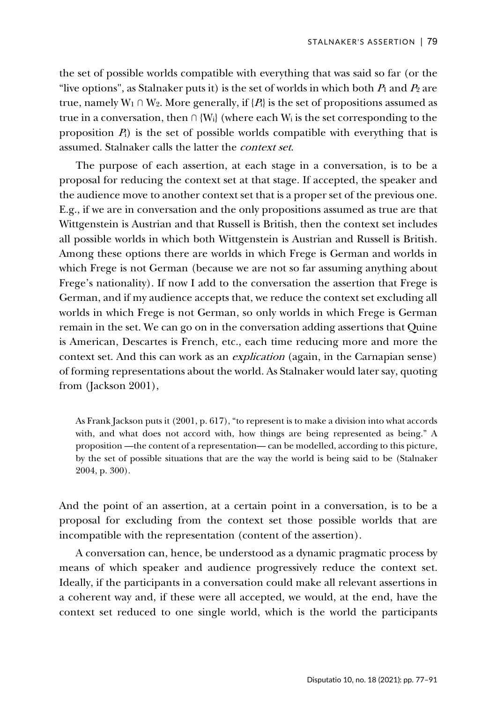the set of possible worlds compatible with everything that was said so far (or the "live options", as Stalnaker puts it) is the set of worlds in which both  $P_1$  and  $P_2$  are true, namely W<sub>1</sub> ∩ W<sub>2</sub>. More generally, if  $\{P_i\}$  is the set of propositions assumed as true in a conversation, then  $\cap$  {W<sub>i</sub>} (where each W<sub>i</sub> is the set corresponding to the proposition  $P_1$ ) is the set of possible worlds compatible with everything that is assumed. Stalnaker calls the latter the context set.

The purpose of each assertion, at each stage in a conversation, is to be a proposal for reducing the context set at that stage. If accepted, the speaker and the audience move to another context set that is a proper set of the previous one. E.g., if we are in conversation and the only propositions assumed as true are that Wittgenstein is Austrian and that Russell is British, then the context set includes all possible worlds in which both Wittgenstein is Austrian and Russell is British. Among these options there are worlds in which Frege is German and worlds in which Frege is not German (because we are not so far assuming anything about Frege's nationality). If now I add to the conversation the assertion that Frege is German, and if my audience accepts that, we reduce the context set excluding all worlds in which Frege is not German, so only worlds in which Frege is German remain in the set. We can go on in the conversation adding assertions that Quine is American, Descartes is French, etc., each time reducing more and more the context set. And this can work as an explication (again, in the Carnapian sense) of forming representations about the world. As Stalnaker would later say, quoting from (Jackson 2001),

As Frank Jackson puts it (2001, p. 617), "to represent is to make a division into what accords with, and what does not accord with, how things are being represented as being." A proposition —the content of a representation— can be modelled, according to this picture, by the set of possible situations that are the way the world is being said to be (Stalnaker 2004, p. 300).

And the point of an assertion, at a certain point in a conversation, is to be a proposal for excluding from the context set those possible worlds that are incompatible with the representation (content of the assertion).

A conversation can, hence, be understood as a dynamic pragmatic process by means of which speaker and audience progressively reduce the context set. Ideally, if the participants in a conversation could make all relevant assertions in a coherent way and, if these were all accepted, we would, at the end, have the context set reduced to one single world, which is the world the participants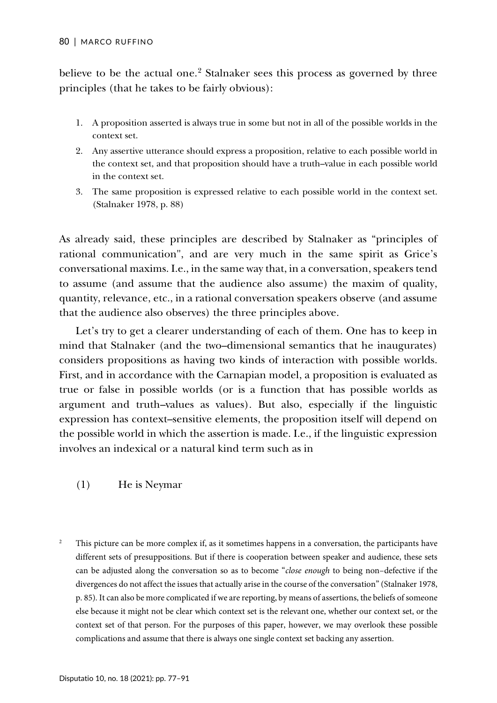believe to be the actual one.<sup>[2](#page-3-0)</sup> Stalnaker sees this process as governed by three principles (that he takes to be fairly obvious):

- 1. A proposition asserted is always true in some but not in all of the possible worlds in the context set.
- 2. Any assertive utterance should express a proposition, relative to each possible world in the context set, and that proposition should have a truth–value in each possible world in the context set.
- 3. The same proposition is expressed relative to each possible world in the context set. (Stalnaker 1978, p. 88)

As already said, these principles are described by Stalnaker as "principles of rational communication", and are very much in the same spirit as Grice's conversational maxims. I.e., in the same way that, in a conversation, speakers tend to assume (and assume that the audience also assume) the maxim of quality, quantity, relevance, etc., in a rational conversation speakers observe (and assume that the audience also observes) the three principles above.

Let's try to get a clearer understanding of each of them. One has to keep in mind that Stalnaker (and the two–dimensional semantics that he inaugurates) considers propositions as having two kinds of interaction with possible worlds. First, and in accordance with the Carnapian model, a proposition is evaluated as true or false in possible worlds (or is a function that has possible worlds as argument and truth–values as values). But also, especially if the linguistic expression has context–sensitive elements, the proposition itself will depend on the possible world in which the assertion is made. I.e., if the linguistic expression involves an indexical or a natural kind term such as in

## (1) He is Neymar

<span id="page-3-0"></span><sup>2</sup> This picture can be more complex if, as it sometimes happens in a conversation, the participants have different sets of presuppositions. But if there is cooperation between speaker and audience, these sets can be adjusted along the conversation so as to become "*close enough* to being non–defective if the divergences do not affect the issues that actually arise in the course of the conversation" (Stalnaker 1978, p. 85). It can also be more complicated if we are reporting, by means of assertions, the beliefs of someone else because it might not be clear which context set is the relevant one, whether our context set, or the context set of that person. For the purposes of this paper, however, we may overlook these possible complications and assume that there is always one single context set backing any assertion.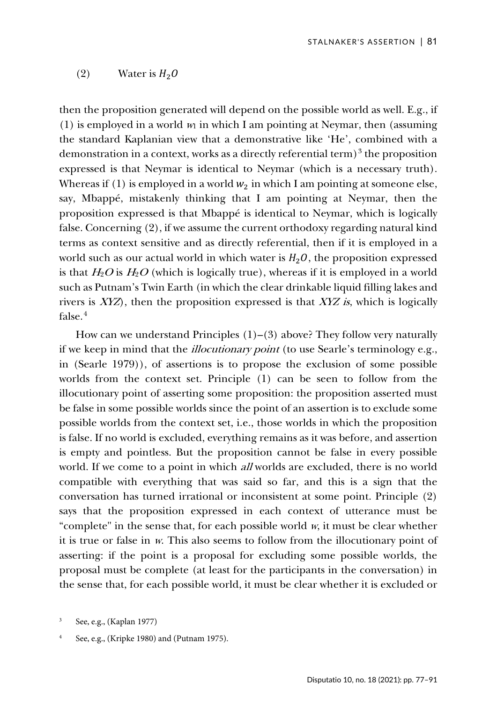#### (2) Water is  $H_2O$

then the proposition generated will depend on the possible world as well. E.g., if (1) is employed in a world  $w_1$  in which I am pointing at Neymar, then (assuming the standard Kaplanian view that a demonstrative like 'He', combined with a demonstration in a context, works as a directly referential term)<sup>[3](#page-4-0)</sup> the proposition expressed is that Neymar is identical to Neymar (which is a necessary truth). Whereas if (1) is employed in a world  $w_2$  in which I am pointing at someone else, say, Mbappé, mistakenly thinking that I am pointing at Neymar, then the proposition expressed is that Mbappé is identical to Neymar, which is logically false. Concerning (2), if we assume the current orthodoxy regarding natural kind terms as context sensitive and as directly referential, then if it is employed in a world such as our actual world in which water is  $H_2O$ , the proposition expressed is that  $H_2O$  is  $H_2O$  (which is logically true), whereas if it is employed in a world such as Putnam's Twin Earth (in which the clear drinkable liquid filling lakes and rivers is XYZ), then the proposition expressed is that XYZ is, which is logically false. $4$ 

How can we understand Principles  $(1)$ – $(3)$  above? They follow very naturally if we keep in mind that the *illocutionary point* (to use Searle's terminology e.g., in (Searle 1979)), of assertions is to propose the exclusion of some possible worlds from the context set. Principle (1) can be seen to follow from the illocutionary point of asserting some proposition: the proposition asserted must be false in some possible worlds since the point of an assertion is to exclude some possible worlds from the context set, i.e., those worlds in which the proposition is false. If no world is excluded, everything remains as it was before, and assertion is empty and pointless. But the proposition cannot be false in every possible world. If we come to a point in which *all* worlds are excluded, there is no world compatible with everything that was said so far, and this is a sign that the conversation has turned irrational or inconsistent at some point. Principle (2) says that the proposition expressed in each context of utterance must be "complete" in the sense that, for each possible world  $w$ , it must be clear whether it is true or false in <sup>w</sup>. This also seems to follow from the illocutionary point of asserting: if the point is a proposal for excluding some possible worlds, the proposal must be complete (at least for the participants in the conversation) in the sense that, for each possible world, it must be clear whether it is excluded or

<span id="page-4-0"></span><sup>3</sup> See, e.g., (Kaplan 1977)

<span id="page-4-1"></span>See, e.g., (Kripke 1980) and (Putnam 1975).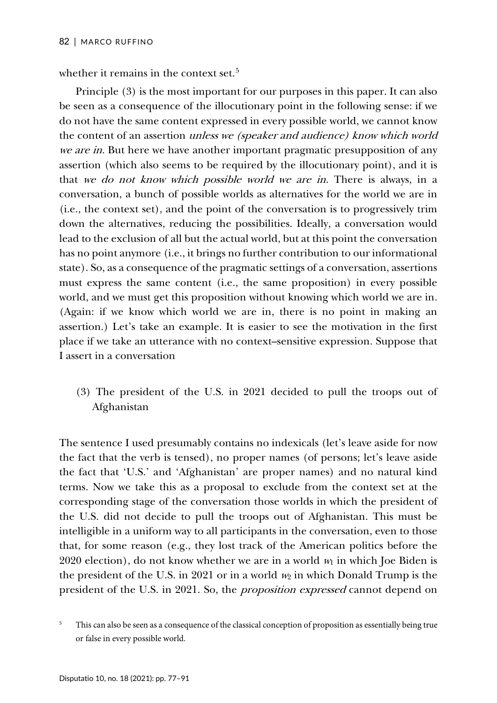whether it remains in the context set.<sup>[5](#page-5-0)</sup>

Principle (3) is the most important for our purposes in this paper. It can also be seen as a consequence of the illocutionary point in the following sense: if we do not have the same content expressed in every possible world, we cannot know the content of an assertion unless we (speaker and audience) know which world we are in. But here we have another important pragmatic presupposition of any assertion (which also seems to be required by the illocutionary point), and it is that we do not know which possible world we are in. There is always, in a conversation, a bunch of possible worlds as alternatives for the world we are in (i.e., the context set), and the point of the conversation is to progressively trim down the alternatives, reducing the possibilities. Ideally, a conversation would lead to the exclusion of all but the actual world, but at this point the conversation has no point anymore (i.e., it brings no further contribution to our informational state). So, as a consequence of the pragmatic settings of a conversation, assertions must express the same content (i.e., the same proposition) in every possible world, and we must get this proposition without knowing which world we are in. (Again: if we know which world we are in, there is no point in making an assertion.) Let's take an example. It is easier to see the motivation in the first place if we take an utterance with no context–sensitive expression. Suppose that I assert in a conversation

(3) The president of the U.S. in 2021 decided to pull the troops out of Afghanistan

The sentence I used presumably contains no indexicals (let's leave aside for now the fact that the verb is tensed), no proper names (of persons; let's leave aside the fact that 'U.S.' and 'Afghanistan' are proper names) and no natural kind terms. Now we take this as a proposal to exclude from the context set at the corresponding stage of the conversation those worlds in which the president of the U.S. did not decide to pull the troops out of Afghanistan. This must be intelligible in a uniform way to all participants in the conversation, even to those that, for some reason (e.g., they lost track of the American politics before the  $2020$  election), do not know whether we are in a world  $w_1$  in which Joe Biden is the president of the U.S. in 2021 or in a world  $w_2$  in which Donald Trump is the president of the U.S. in 2021. So, the proposition expressed cannot depend on

<span id="page-5-0"></span>This can also be seen as a consequence of the classical conception of proposition as essentially being true or false in every possible world.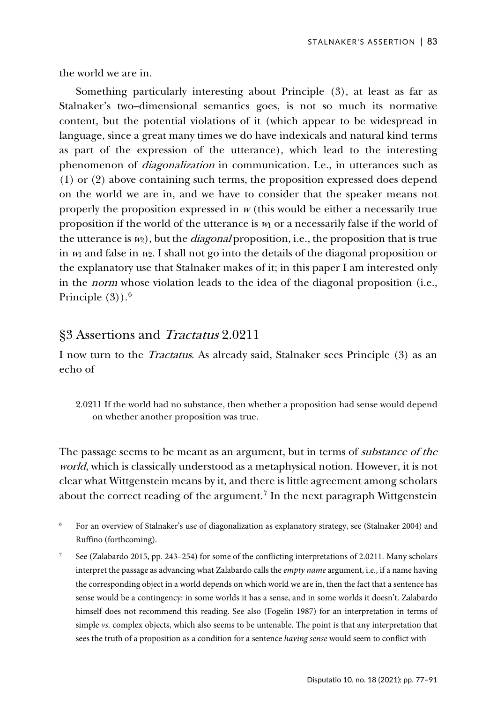the world we are in.

Something particularly interesting about Principle (3), at least as far as Stalnaker's two–dimensional semantics goes, is not so much its normative content, but the potential violations of it (which appear to be widespread in language, since a great many times we do have indexicals and natural kind terms as part of the expression of the utterance), which lead to the interesting phenomenon of diagonalization in communication. I.e., in utterances such as (1) or (2) above containing such terms, the proposition expressed does depend on the world we are in, and we have to consider that the speaker means not properly the proposition expressed in  $w$  (this would be either a necessarily true proposition if the world of the utterance is  $w_1$  or a necessarily false if the world of the utterance is  $w_2$ ), but the *diagonal* proposition, i.e., the proposition that is true in  $w_1$  and false in  $w_2$ . I shall not go into the details of the diagonal proposition or the explanatory use that Stalnaker makes of it; in this paper I am interested only in the norm whose violation leads to the idea of the diagonal proposition (i.e., Principle  $(3)$ ).<sup>[6](#page-6-0)</sup>

## §3 Assertions and Tractatus 2.0211

I now turn to the Tractatus. As already said, Stalnaker sees Principle (3) as an echo of

2.0211 If the world had no substance, then whether a proposition had sense would depend on whether another proposition was true.

The passage seems to be meant as an argument, but in terms of *substance of the* world, which is classically understood as a metaphysical notion. However, it is not clear what Wittgenstein means by it, and there is little agreement among scholars about the correct reading of the argument.<sup>[7](#page-6-1)</sup> In the next paragraph Wittgenstein

- <span id="page-6-0"></span><sup>6</sup> For an overview of Stalnaker's use of diagonalization as explanatory strategy, see (Stalnaker 2004) and Ruffino (forthcoming).
- <span id="page-6-1"></span><sup>7</sup> See (Zalabardo 2015, pp. 243–254) for some of the conflicting interpretations of 2.0211. Many scholars interpret the passage as advancing what Zalabardo calls the *empty name* argument, i.e., if a name having the corresponding object in a world depends on which world we are in, then the fact that a sentence has sense would be a contingency: in some worlds it has a sense, and in some worlds it doesn't. Zalabardo himself does not recommend this reading. See also (Fogelin 1987) for an interpretation in terms of simple *vs.* complex objects, which also seems to be untenable. The point is that any interpretation that sees the truth of a proposition as a condition for a sentence *having sense* would seem to conflict with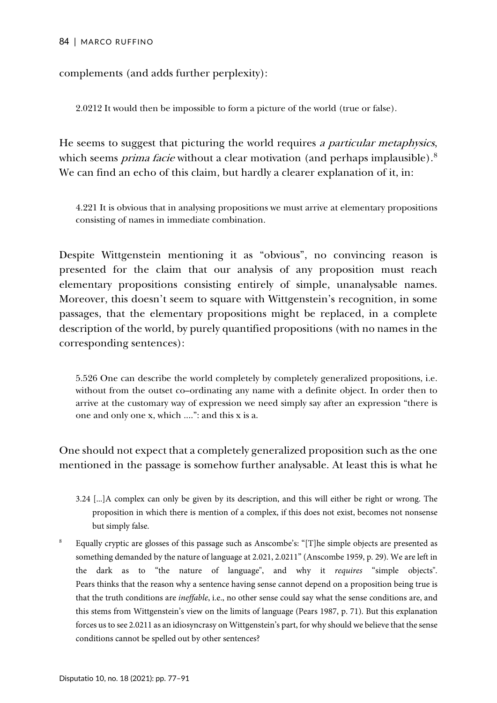#### 84 | MARCO RUFFINO

complements (and adds further perplexity):

2.0212 It would then be impossible to form a picture of the world (true or false).

He seems to suggest that picturing the world requires a particular metaphysics, which seems *prima facie* without a clear motivation (and perhaps implausible).<sup>[8](#page-7-0)</sup> We can find an echo of this claim, but hardly a clearer explanation of it, in:

4.221 It is obvious that in analysing propositions we must arrive at elementary propositions consisting of names in immediate combination.

Despite Wittgenstein mentioning it as "obvious", no convincing reason is presented for the claim that our analysis of any proposition must reach elementary propositions consisting entirely of simple, unanalysable names. Moreover, this doesn't seem to square with Wittgenstein's recognition, in some passages, that the elementary propositions might be replaced, in a complete description of the world, by purely quantified propositions (with no names in the corresponding sentences):

5.526 One can describe the world completely by completely generalized propositions, i.e. without from the outset co–ordinating any name with a definite object. In order then to arrive at the customary way of expression we need simply say after an expression "there is one and only one x, which ....": and this x is a.

# One should not expect that a completely generalized proposition such as the one mentioned in the passage is somehow further analysable. At least this is what he

- 3.24 [...]A complex can only be given by its description, and this will either be right or wrong. The proposition in which there is mention of a complex, if this does not exist, becomes not nonsense but simply false.
- <span id="page-7-0"></span><sup>8</sup> Equally cryptic are glosses of this passage such as Anscombe's: "[T]he simple objects are presented as something demanded by the nature of language at 2.021, 2.0211" (Anscombe 1959, p. 29). We are left in the dark as to "the nature of language", and why it *requires* "simple objects". Pears thinks that the reason why a sentence having sense cannot depend on a proposition being true is that the truth conditions are *ineffable*, i.e., no other sense could say what the sense conditions are, and this stems from Wittgenstein's view on the limits of language (Pears 1987, p. 71). But this explanation forces us to see 2.0211 as an idiosyncrasy on Wittgenstein's part, for why should we believe that the sense conditions cannot be spelled out by other sentences?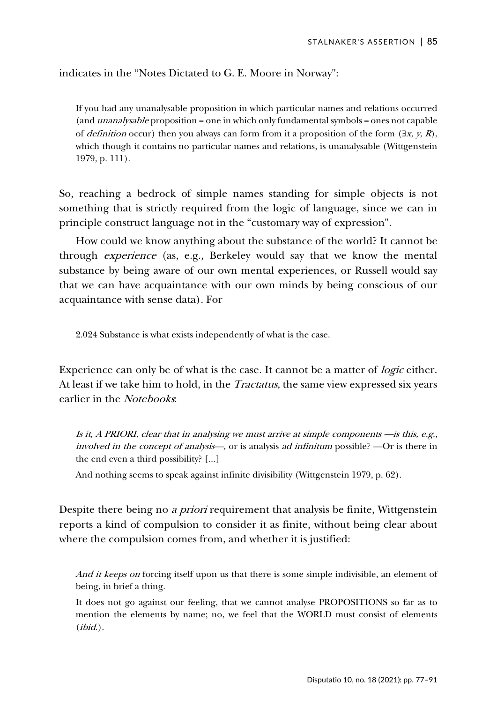indicates in the "Notes Dictated to G. E. Moore in Norway":

If you had any unanalysable proposition in which particular names and relations occurred (and unanalysable proposition = one in which only fundamental symbols = ones not capable of definition occur) then you always can form from it a proposition of the form  $(\exists x, y, R)$ , which though it contains no particular names and relations, is unanalysable (Wittgenstein 1979, p. 111).

So, reaching a bedrock of simple names standing for simple objects is not something that is strictly required from the logic of language, since we can in principle construct language not in the "customary way of expression".

How could we know anything about the substance of the world? It cannot be through experience (as, e.g., Berkeley would say that we know the mental substance by being aware of our own mental experiences, or Russell would say that we can have acquaintance with our own minds by being conscious of our acquaintance with sense data). For

2.024 Substance is what exists independently of what is the case.

Experience can only be of what is the case. It cannot be a matter of *logic* either. At least if we take him to hold, in the Tractatus, the same view expressed six years earlier in the Notebooks:

Is it, A PRIORI, clear that in analysing we must arrive at simple components  $-$  is this, e.g., involved in the concept of analysis—, or is analysis ad infinitum possible? —Or is there in the end even a third possibility? [...]

And nothing seems to speak against infinite divisibility (Wittgenstein 1979, p. 62).

Despite there being no *a priori* requirement that analysis be finite, Wittgenstein reports a kind of compulsion to consider it as finite, without being clear about where the compulsion comes from, and whether it is justified:

And it keeps on forcing itself upon us that there is some simple indivisible, an element of being, in brief a thing.

It does not go against our feeling, that we cannot analyse PROPOSITIONS so far as to mention the elements by name; no, we feel that the WORLD must consist of elements  $(ibid.).$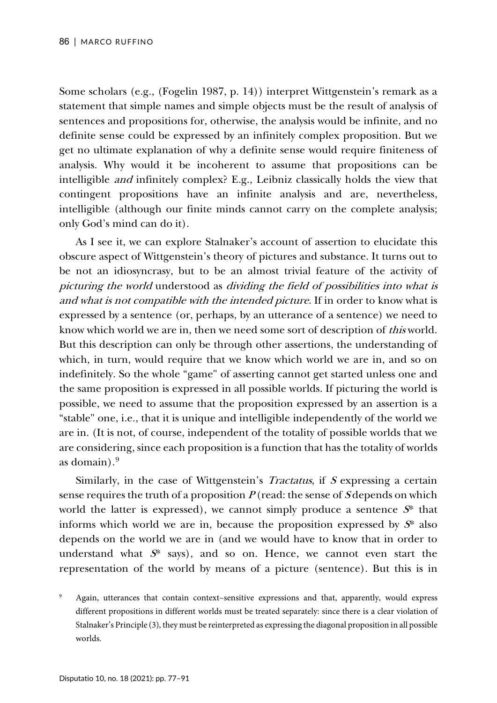Some scholars (e.g., (Fogelin 1987, p. 14)) interpret Wittgenstein's remark as a statement that simple names and simple objects must be the result of analysis of sentences and propositions for, otherwise, the analysis would be infinite, and no definite sense could be expressed by an infinitely complex proposition. But we get no ultimate explanation of why a definite sense would require finiteness of analysis. Why would it be incoherent to assume that propositions can be intelligible and infinitely complex? E.g., Leibniz classically holds the view that contingent propositions have an infinite analysis and are, nevertheless, intelligible (although our finite minds cannot carry on the complete analysis; only God's mind can do it).

As I see it, we can explore Stalnaker's account of assertion to elucidate this obscure aspect of Wittgenstein's theory of pictures and substance. It turns out to be not an idiosyncrasy, but to be an almost trivial feature of the activity of picturing the world understood as dividing the field of possibilities into what is and what is not compatible with the intended picture. If in order to know what is expressed by a sentence (or, perhaps, by an utterance of a sentence) we need to know which world we are in, then we need some sort of description of *this* world. But this description can only be through other assertions, the understanding of which, in turn, would require that we know which world we are in, and so on indefinitely. So the whole "game" of asserting cannot get started unless one and the same proposition is expressed in all possible worlds. If picturing the world is possible, we need to assume that the proposition expressed by an assertion is a "stable" one, i.e., that it is unique and intelligible independently of the world we are in. (It is not, of course, independent of the totality of possible worlds that we are considering, since each proposition is a function that has the totality of worlds as domain). [9](#page-9-0)

Similarly, in the case of Wittgenstein's *Tractatus*, if S expressing a certain sense requires the truth of a proposition  $P$  (read: the sense of S depends on which world the latter is expressed), we cannot simply produce a sentence  $S^*$  that informs which world we are in, because the proposition expressed by  $S^*$  also depends on the world we are in (and we would have to know that in order to understand what  $S^*$  says), and so on. Hence, we cannot even start the representation of the world by means of a picture (sentence). But this is in

<span id="page-9-0"></span>Again, utterances that contain context-sensitive expressions and that, apparently, would express different propositions in different worlds must be treated separately: since there is a clear violation of Stalnaker's Principle (3), they must be reinterpreted as expressing the diagonal proposition in all possible worlds.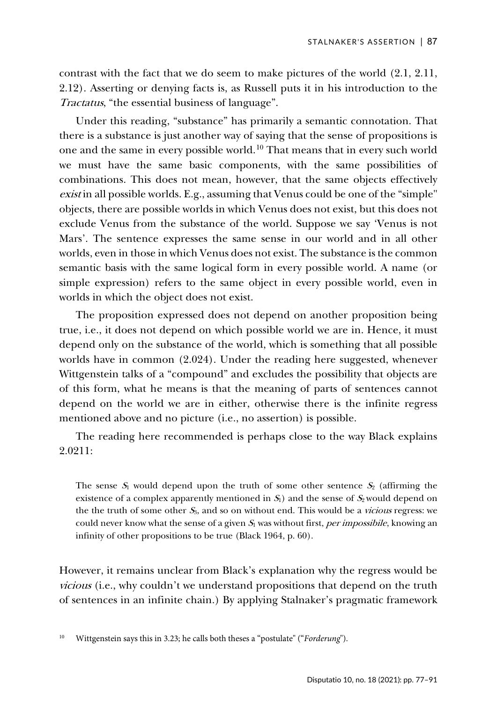contrast with the fact that we do seem to make pictures of the world (2.1, 2.11, 2.12). Asserting or denying facts is, as Russell puts it in his introduction to the Tractatus, "the essential business of language".

Under this reading, "substance" has primarily a semantic connotation. That there is a substance is just another way of saying that the sense of propositions is one and the same in every possible world.[10](#page-10-0) That means that in every such world we must have the same basic components, with the same possibilities of combinations. This does not mean, however, that the same objects effectively exist in all possible worlds. E.g., assuming that Venus could be one of the "simple" objects, there are possible worlds in which Venus does not exist, but this does not exclude Venus from the substance of the world. Suppose we say 'Venus is not Mars'. The sentence expresses the same sense in our world and in all other worlds, even in those in which Venus does not exist. The substance is the common semantic basis with the same logical form in every possible world. A name (or simple expression) refers to the same object in every possible world, even in worlds in which the object does not exist.

The proposition expressed does not depend on another proposition being true, i.e., it does not depend on which possible world we are in. Hence, it must depend only on the substance of the world, which is something that all possible worlds have in common (2.024). Under the reading here suggested, whenever Wittgenstein talks of a "compound" and excludes the possibility that objects are of this form, what he means is that the meaning of parts of sentences cannot depend on the world we are in either, otherwise there is the infinite regress mentioned above and no picture (i.e., no assertion) is possible.

The reading here recommended is perhaps close to the way Black explains 2.0211:

The sense  $S_1$  would depend upon the truth of some other sentence  $S_2$  (affirming the existence of a complex apparently mentioned in  $S_1$ ) and the sense of  $S_2$  would depend on the the truth of some other  $S_3$ , and so on without end. This would be a *vicious* regress: we could never know what the sense of a given  $S_1$  was without first, *per impossibile*, knowing an infinity of other propositions to be true (Black 1964, p. 60).

However, it remains unclear from Black's explanation why the regress would be vicious (i.e., why couldn't we understand propositions that depend on the truth of sentences in an infinite chain.) By applying Stalnaker's pragmatic framework

<span id="page-10-0"></span><sup>10</sup> Wittgenstein says this in 3.23; he calls both theses a "postulate" ("*Forderung*").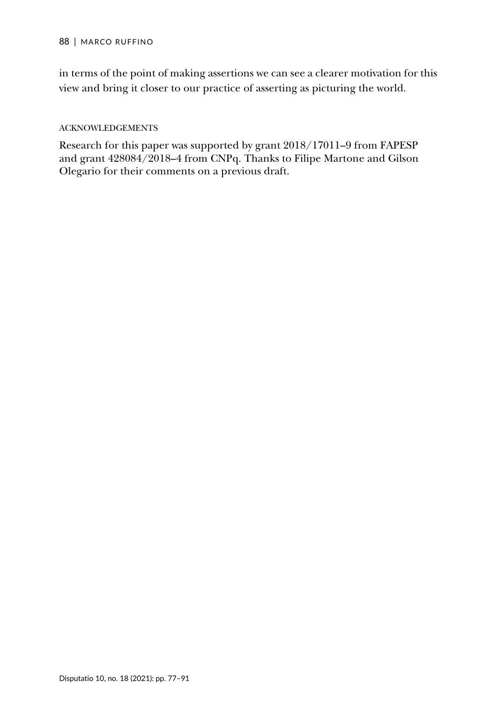#### 88 | MARCO RUFFINO

in terms of the point of making assertions we can see a clearer motivation for this view and bring it closer to our practice of asserting as picturing the world.

## ACKNOWLEDGEMENTS

Research for this paper was supported by grant 2018/17011–9 from FAPESP and grant 428084/2018–4 from CNPq. Thanks to Filipe Martone and Gilson Olegario for their comments on a previous draft.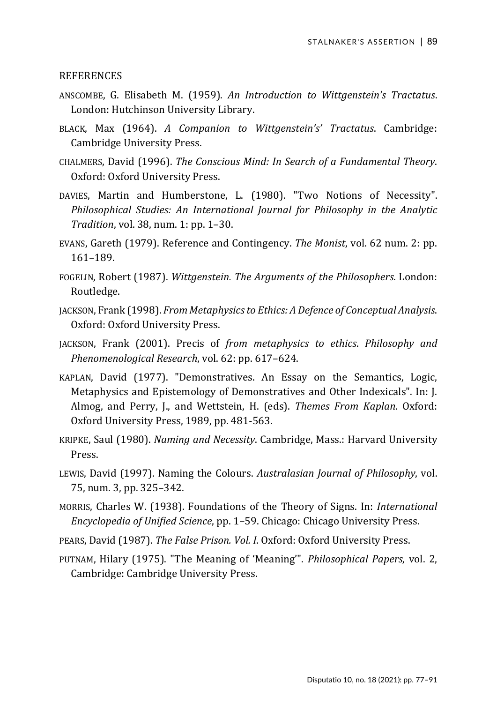REFERENCES

- ANSCOMBE, G. Elisabeth M. (1959). *An Introduction to Wittgenstein's Tractatus*. London: Hutchinson University Library.
- BLACK, Max (1964). *A Companion to Wittgenstein's' Tractatus*. Cambridge: Cambridge University Press.
- CHALMERS, David (1996). *The Conscious Mind: In Search of a Fundamental Theory*. Oxford: Oxford University Press.
- DAVIES, Martin and Humberstone, L. (1980). "Two Notions of Necessity". *Philosophical Studies: An International Journal for Philosophy in the Analytic Tradition*, vol. 38, num. 1: pp. 1–30.
- EVANS, Gareth (1979). Reference and Contingency. *The Monist*, vol. 62 num. 2: pp. 161–189.
- FOGELIN, Robert (1987). *Wittgenstein. The Arguments of the Philosophers*. London: Routledge.
- JACKSON, Frank (1998). *From Metaphysics to Ethics: A Defence of Conceptual Analysis*. Oxford: Oxford University Press.
- JACKSON, Frank (2001). Precis of *from metaphysics to ethics*. *Philosophy and Phenomenological Research*, vol. 62: pp. 617–624.
- KAPLAN, David (1977). "Demonstratives. An Essay on the Semantics, Logic, Metaphysics and Epistemology of Demonstratives and Other Indexicals". In: J. Almog, and Perry, J., and Wettstein, H. (eds). *Themes From Kaplan*. Oxford: Oxford University Press, 1989, pp. 481-563.
- KRIPKE, Saul (1980). *Naming and Necessity*. Cambridge, Mass.: Harvard University Press.
- LEWIS, David (1997). Naming the Colours. *Australasian Journal of Philosophy*, vol. 75, num. 3, pp. 325–342.
- MORRIS, Charles W. (1938). Foundations of the Theory of Signs. In: *International Encyclopedia of Unified Science*, pp. 1–59. Chicago: Chicago University Press.
- PEARS, David (1987). *The False Prison. Vol. I*. Oxford: Oxford University Press.
- PUTNAM, Hilary (1975). "The Meaning of 'Meaning'". *Philosophical Papers*, vol. 2, Cambridge: Cambridge University Press.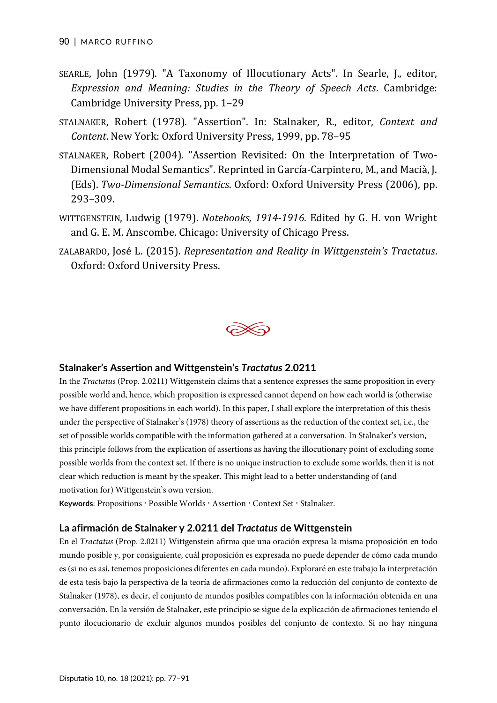- SEARLE, John (1979). "A Taxonomy of Illocutionary Acts". In Searle, J., editor, *Expression and Meaning: Studies in the Theory of Speech Acts*. Cambridge: Cambridge University Press, pp. 1–29
- STALNAKER, Robert (1978). "Assertion". In: Stalnaker, R., editor, *Context and Content*. New York: Oxford University Press, 1999, pp. 78–95
- STALNAKER, Robert (2004). "Assertion Revisited: On the Interpretation of Two-Dimensional Modal Semantics". Reprinted in García-Carpintero, M., and Macià, J. (Eds). *Two-Dimensional Semantics*. Oxford: Oxford University Press (2006), pp. 293–309.
- WITTGENSTEIN, Ludwig (1979). *Notebooks, 1914-1916*. Edited by G. H. von Wright and G. E. M. Anscombe. Chicago: University of Chicago Press.
- ZALABARDO, José L. (2015). *Representation and Reality in Wittgenstein's Tractatus*. Oxford: Oxford University Press.



## **Stalnaker's Assertion and Wittgenstein's** *Tractatus* **2.0211**

In the *Tractatus* (Prop. 2.0211) Wittgenstein claims that a sentence expresses the same proposition in every possible world and, hence, which proposition is expressed cannot depend on how each world is (otherwise we have different propositions in each world). In this paper, I shall explore the interpretation of this thesis under the perspective of Stalnaker's (1978) theory of assertions as the reduction of the context set, i.e., the set of possible worlds compatible with the information gathered at a conversation. In Stalnaker's version, this principle follows from the explication of assertions as having the illocutionary point of excluding some possible worlds from the context set. If there is no unique instruction to exclude some worlds, then it is not clear which reduction is meant by the speaker. This might lead to a better understanding of (and motivation for) Wittgenstein's own version.

Keywords: Propositions · Possible Worlds · Assertion · Context Set · Stalnaker.

## **La afirmación de Stalnaker y 2.0211 del** *Tractatus* **de Wittgenstein**

En el *Tractatus* (Prop. 2.0211) Wittgenstein afirma que una oración expresa la misma proposición en todo mundo posible y, por consiguiente, cuál proposición es expresada no puede depender de cómo cada mundo es (si no es así, tenemos proposiciones diferentes en cada mundo). Exploraré en este trabajo la interpretación de esta tesis bajo la perspectiva de la teoría de afirmaciones como la reducción del conjunto de contexto de Stalnaker (1978), es decir, el conjunto de mundos posibles compatibles con la información obtenida en una conversación. En la versión de Stalnaker, este principio se sigue de la explicación de afirmaciones teniendo el punto ilocucionario de excluir algunos mundos posibles del conjunto de contexto. Si no hay ninguna